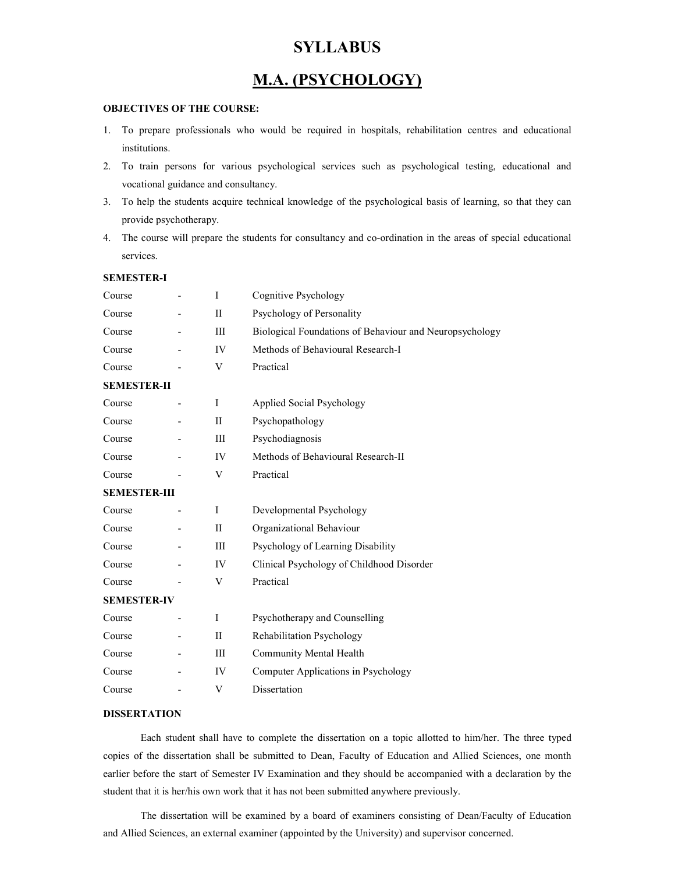# **SYLLABUS**

# M.A. (PSYCHOLOGY)

# OBJECTIVES OF THE COURSE:

- 1. To prepare professionals who would be required in hospitals, rehabilitation centres and educational institutions.
- 2. To train persons for various psychological services such as psychological testing, educational and vocational guidance and consultancy.
- 3. To help the students acquire technical knowledge of the psychological basis of learning, so that they can provide psychotherapy.
- 4. The course will prepare the students for consultancy and co-ordination in the areas of special educational services.

| <b>SEMESTER-I</b>   |              |                                                         |
|---------------------|--------------|---------------------------------------------------------|
| Course              | $\mathbf{I}$ | Cognitive Psychology                                    |
| Course              | $\mathbf{I}$ | Psychology of Personality                               |
| Course              | III          | Biological Foundations of Behaviour and Neuropsychology |
| Course              | IV           | Methods of Behavioural Research-I                       |
| Course              | V            | Practical                                               |
| <b>SEMESTER-II</b>  |              |                                                         |
| Course              | I            | Applied Social Psychology                               |
| Course              | $_{\rm II}$  | Psychopathology                                         |
| Course              | Ш            | Psychodiagnosis                                         |
| Course              | IV           | Methods of Behavioural Research-II                      |
| Course              | V            | Practical                                               |
| <b>SEMESTER-III</b> |              |                                                         |
| Course              | I            | Developmental Psychology                                |
| Course              | $\mathbf{I}$ | Organizational Behaviour                                |
| Course              | III          | Psychology of Learning Disability                       |
| Course              | IV           | Clinical Psychology of Childhood Disorder               |
| Course              | V            | Practical                                               |
| <b>SEMESTER-IV</b>  |              |                                                         |
| Course              | T            | Psychotherapy and Counselling                           |
| Course              | $\mathbf{I}$ | Rehabilitation Psychology                               |
| Course              | III          | Community Mental Health                                 |
| Course              | IV           | Computer Applications in Psychology                     |
| Course              | V            | Dissertation                                            |
|                     |              |                                                         |

#### DISSERTATION

Each student shall have to complete the dissertation on a topic allotted to him/her. The three typed copies of the dissertation shall be submitted to Dean, Faculty of Education and Allied Sciences, one month earlier before the start of Semester IV Examination and they should be accompanied with a declaration by the student that it is her/his own work that it has not been submitted anywhere previously.

The dissertation will be examined by a board of examiners consisting of Dean/Faculty of Education and Allied Sciences, an external examiner (appointed by the University) and supervisor concerned.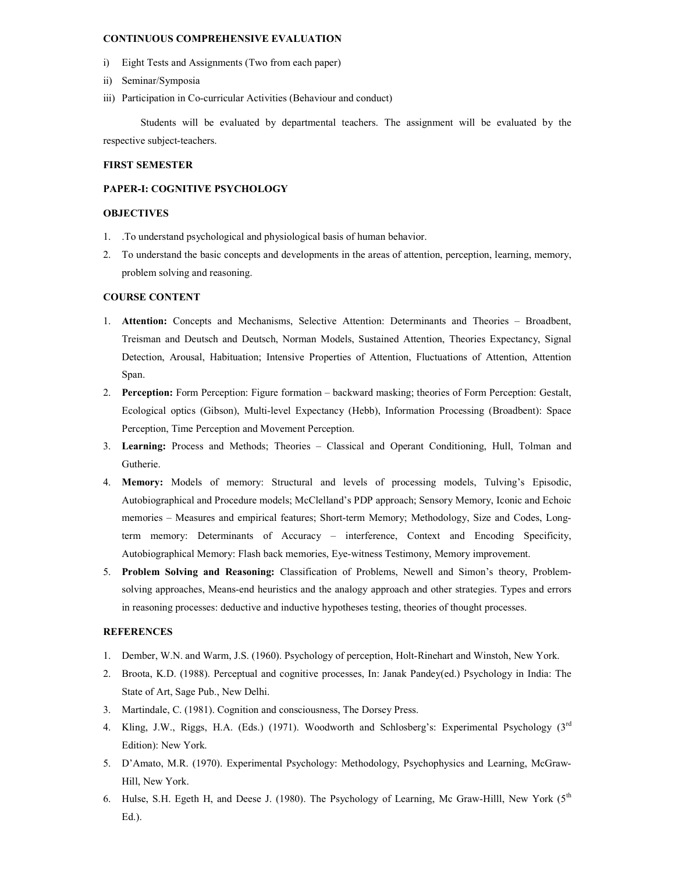# CONTINUOUS COMPREHENSIVE EVALUATION

- i) Eight Tests and Assignments (Two from each paper)
- ii) Seminar/Symposia
- iii) Participation in Co-curricular Activities (Behaviour and conduct)

Students will be evaluated by departmental teachers. The assignment will be evaluated by the respective subject-teachers.

#### FIRST SEMESTER

# PAPER-I: COGNITIVE PSYCHOLOGY

# **OBJECTIVES**

- 1. .To understand psychological and physiological basis of human behavior.
- 2. To understand the basic concepts and developments in the areas of attention, perception, learning, memory, problem solving and reasoning.

# COURSE CONTENT

- 1. Attention: Concepts and Mechanisms, Selective Attention: Determinants and Theories Broadbent, Treisman and Deutsch and Deutsch, Norman Models, Sustained Attention, Theories Expectancy, Signal Detection, Arousal, Habituation; Intensive Properties of Attention, Fluctuations of Attention, Attention Span.
- 2. Perception: Form Perception: Figure formation backward masking; theories of Form Perception: Gestalt, Ecological optics (Gibson), Multi-level Expectancy (Hebb), Information Processing (Broadbent): Space Perception, Time Perception and Movement Perception.
- 3. Learning: Process and Methods; Theories Classical and Operant Conditioning, Hull, Tolman and Gutherie.
- 4. Memory: Models of memory: Structural and levels of processing models, Tulving's Episodic, Autobiographical and Procedure models; McClelland's PDP approach; Sensory Memory, Iconic and Echoic memories – Measures and empirical features; Short-term Memory; Methodology, Size and Codes, Longterm memory: Determinants of Accuracy – interference, Context and Encoding Specificity, Autobiographical Memory: Flash back memories, Eye-witness Testimony, Memory improvement.
- 5. Problem Solving and Reasoning: Classification of Problems, Newell and Simon's theory, Problemsolving approaches, Means-end heuristics and the analogy approach and other strategies. Types and errors in reasoning processes: deductive and inductive hypotheses testing, theories of thought processes.

- 1. Dember, W.N. and Warm, J.S. (1960). Psychology of perception, Holt-Rinehart and Winstoh, New York.
- 2. Broota, K.D. (1988). Perceptual and cognitive processes, In: Janak Pandey(ed.) Psychology in India: The State of Art, Sage Pub., New Delhi.
- 3. Martindale, C. (1981). Cognition and consciousness, The Dorsey Press.
- 4. Kling, J.W., Riggs, H.A. (Eds.) (1971). Woodworth and Schlosberg's: Experimental Psychology (3<sup>rd</sup> Edition): New York.
- 5. D'Amato, M.R. (1970). Experimental Psychology: Methodology, Psychophysics and Learning, McGraw-Hill, New York.
- 6. Hulse, S.H. Egeth H, and Deese J. (1980). The Psychology of Learning, Mc Graw-Hilll, New York (5<sup>th</sup> Ed.).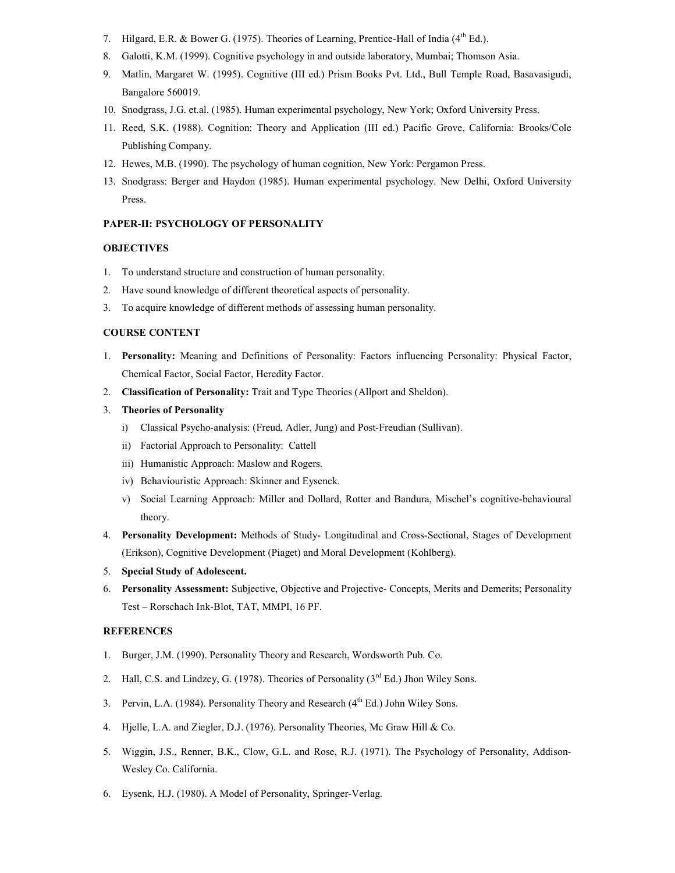- 7. Hilgard, E.R. & Bower G. (1975). Theories of Learning, Prentice-Hall of India (4<sup>th</sup> Ed.).
- 8. Galotti, K.M. (1999). Cognitive psychology in and outside laboratory, Mumbai; Thomson Asia.
- 9. Matlin, Margaret W. (1995). Cognitive (III ed.) Prism Books Pvt. Ltd., Bull Temple Road, Basavasigudi, Bangalore 560019.
- 10. Snodgrass, J.G. et.al. (1985). Human experimental psychology, New York; Oxford University Press.
- 11. Reed, S.K. (1988). Cognition: Theory and Application (III ed.) Pacific Grove, California: Brooks/Cole Publishing Company.
- 12. Hewes, M.B. (1990). The psychology of human cognition, New York: Pergamon Press.
- 13. Snodgrass: Berger and Haydon (1985). Human experimental psychology. New Delhi, Oxford University Press.

#### PAPER-II: PSYCHOLOGY OF PERSONALITY

# **OBJECTIVES**

- 1. To understand structure and construction of human personality.
- 2. Have sound knowledge of different theoretical aspects of personality.
- 3. To acquire knowledge of different methods of assessing human personality.

### COURSE CONTENT

- 1. Personality: Meaning and Definitions of Personality: Factors influencing Personality: Physical Factor, Chemical Factor, Social Factor, Heredity Factor.
- 2. Classification of Personality: Trait and Type Theories (Allport and Sheldon).
- 3. Theories of Personality
	- i) Classical Psycho-analysis: (Freud, Adler, Jung) and Post-Freudian (Sullivan).
	- ii) Factorial Approach to Personality: Cattell
	- iii) Humanistic Approach: Maslow and Rogers.
	- iv) Behaviouristic Approach: Skinner and Eysenck.
	- v) Social Learning Approach: Miller and Dollard, Rotter and Bandura, Mischel's cognitive-behavioural theory.
- 4. Personality Development: Methods of Study- Longitudinal and Cross-Sectional, Stages of Development (Erikson), Cognitive Development (Piaget) and Moral Development (Kohlberg).
- 5. Special Study of Adolescent.
- 6. Personality Assessment: Subjective, Objective and Projective- Concepts, Merits and Demerits; Personality Test – Rorschach Ink-Blot, TAT, MMPI, 16 PF.

- 1. Burger, J.M. (1990). Personality Theory and Research, Wordsworth Pub. Co.
- 2. Hall, C.S. and Lindzey, G. (1978). Theories of Personality (3<sup>rd</sup> Ed.) Jhon Wiley Sons.
- 3. Pervin, L.A. (1984). Personality Theory and Research (4<sup>th</sup> Ed.) John Wiley Sons.
- 4. Hjelle, L.A. and Ziegler, D.J. (1976). Personality Theories, Mc Graw Hill & Co.
- 5. Wiggin, J.S., Renner, B.K., Clow, G.L. and Rose, R.J. (1971). The Psychology of Personality, Addison-Wesley Co. California.
- 6. Eysenk, H.J. (1980). A Model of Personality, Springer-Verlag.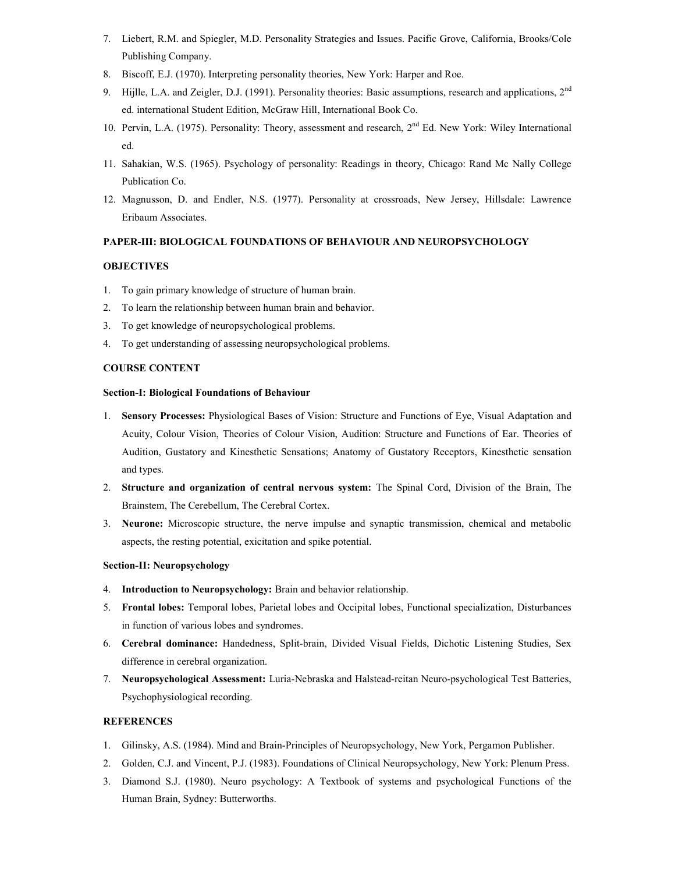- 7. Liebert, R.M. and Spiegler, M.D. Personality Strategies and Issues. Pacific Grove, California, Brooks/Cole Publishing Company.
- 8. Biscoff, E.J. (1970). Interpreting personality theories, New York: Harper and Roe.
- 9. Hijlle, L.A. and Zeigler, D.J. (1991). Personality theories: Basic assumptions, research and applications,  $2<sup>nd</sup>$ ed. international Student Edition, McGraw Hill, International Book Co.
- 10. Pervin, L.A. (1975). Personality: Theory, assessment and research, 2<sup>nd</sup> Ed. New York: Wiley International ed.
- 11. Sahakian, W.S. (1965). Psychology of personality: Readings in theory, Chicago: Rand Mc Nally College Publication Co.
- 12. Magnusson, D. and Endler, N.S. (1977). Personality at crossroads, New Jersey, Hillsdale: Lawrence Eribaum Associates.

# PAPER-III: BIOLOGICAL FOUNDATIONS OF BEHAVIOUR AND NEUROPSYCHOLOGY

# **OBJECTIVES**

- 1. To gain primary knowledge of structure of human brain.
- 2. To learn the relationship between human brain and behavior.
- 3. To get knowledge of neuropsychological problems.
- 4. To get understanding of assessing neuropsychological problems.

# COURSE CONTENT

#### Section-I: Biological Foundations of Behaviour

- 1. Sensory Processes: Physiological Bases of Vision: Structure and Functions of Eye, Visual Adaptation and Acuity, Colour Vision, Theories of Colour Vision, Audition: Structure and Functions of Ear. Theories of Audition, Gustatory and Kinesthetic Sensations; Anatomy of Gustatory Receptors, Kinesthetic sensation and types.
- 2. Structure and organization of central nervous system: The Spinal Cord, Division of the Brain, The Brainstem, The Cerebellum, The Cerebral Cortex.
- 3. Neurone: Microscopic structure, the nerve impulse and synaptic transmission, chemical and metabolic aspects, the resting potential, exicitation and spike potential.

# Section-II: Neuropsychology

- 4. Introduction to Neuropsychology: Brain and behavior relationship.
- 5. Frontal lobes: Temporal lobes, Parietal lobes and Occipital lobes, Functional specialization, Disturbances in function of various lobes and syndromes.
- 6. Cerebral dominance: Handedness, Split-brain, Divided Visual Fields, Dichotic Listening Studies, Sex difference in cerebral organization.
- 7. Neuropsychological Assessment: Luria-Nebraska and Halstead-reitan Neuro-psychological Test Batteries, Psychophysiological recording.

- 1. Gilinsky, A.S. (1984). Mind and Brain-Principles of Neuropsychology, New York, Pergamon Publisher.
- 2. Golden, C.J. and Vincent, P.J. (1983). Foundations of Clinical Neuropsychology, New York: Plenum Press.
- 3. Diamond S.J. (1980). Neuro psychology: A Textbook of systems and psychological Functions of the Human Brain, Sydney: Butterworths.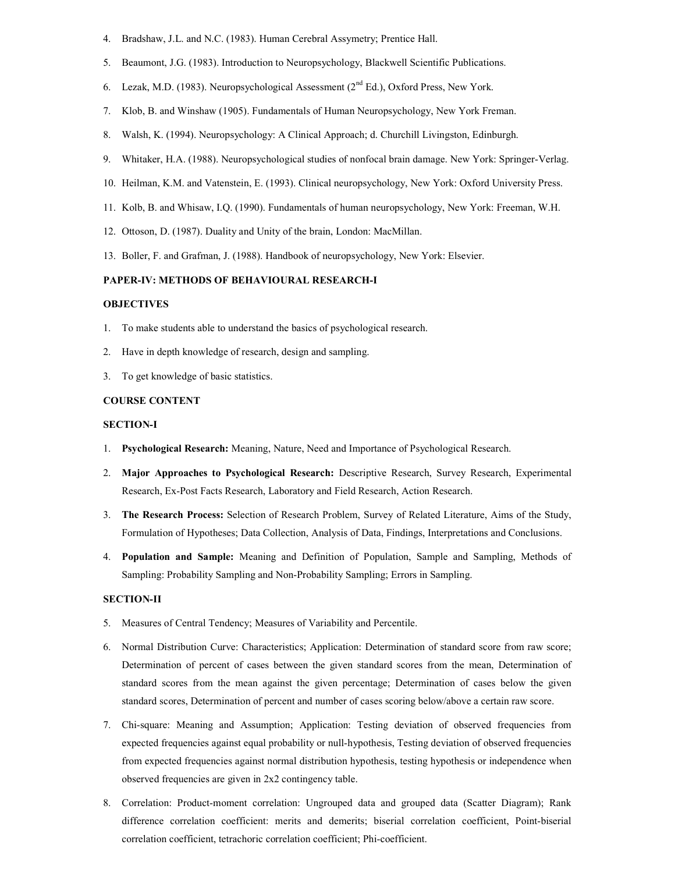- 4. Bradshaw, J.L. and N.C. (1983). Human Cerebral Assymetry; Prentice Hall.
- 5. Beaumont, J.G. (1983). Introduction to Neuropsychology, Blackwell Scientific Publications.
- 6. Lezak, M.D. (1983). Neuropsychological Assessment ( $2<sup>nd</sup> Ed$ .), Oxford Press, New York.
- 7. Klob, B. and Winshaw (1905). Fundamentals of Human Neuropsychology, New York Freman.
- 8. Walsh, K. (1994). Neuropsychology: A Clinical Approach; d. Churchill Livingston, Edinburgh.
- 9. Whitaker, H.A. (1988). Neuropsychological studies of nonfocal brain damage. New York: Springer-Verlag.
- 10. Heilman, K.M. and Vatenstein, E. (1993). Clinical neuropsychology, New York: Oxford University Press.
- 11. Kolb, B. and Whisaw, I.Q. (1990). Fundamentals of human neuropsychology, New York: Freeman, W.H.
- 12. Ottoson, D. (1987). Duality and Unity of the brain, London: MacMillan.
- 13. Boller, F. and Grafman, J. (1988). Handbook of neuropsychology, New York: Elsevier.

# PAPER-IV: METHODS OF BEHAVIOURAL RESEARCH-I

# **OBJECTIVES**

- 1. To make students able to understand the basics of psychological research.
- 2. Have in depth knowledge of research, design and sampling.
- 3. To get knowledge of basic statistics.

#### COURSE CONTENT

#### SECTION-I

- 1. Psychological Research: Meaning, Nature, Need and Importance of Psychological Research.
- 2. Major Approaches to Psychological Research: Descriptive Research, Survey Research, Experimental Research, Ex-Post Facts Research, Laboratory and Field Research, Action Research.
- 3. The Research Process: Selection of Research Problem, Survey of Related Literature, Aims of the Study, Formulation of Hypotheses; Data Collection, Analysis of Data, Findings, Interpretations and Conclusions.
- 4. Population and Sample: Meaning and Definition of Population, Sample and Sampling, Methods of Sampling: Probability Sampling and Non-Probability Sampling; Errors in Sampling.

#### SECTION-II

- 5. Measures of Central Tendency; Measures of Variability and Percentile.
- 6. Normal Distribution Curve: Characteristics; Application: Determination of standard score from raw score; Determination of percent of cases between the given standard scores from the mean, Determination of standard scores from the mean against the given percentage; Determination of cases below the given standard scores, Determination of percent and number of cases scoring below/above a certain raw score.
- 7. Chi-square: Meaning and Assumption; Application: Testing deviation of observed frequencies from expected frequencies against equal probability or null-hypothesis, Testing deviation of observed frequencies from expected frequencies against normal distribution hypothesis, testing hypothesis or independence when observed frequencies are given in 2x2 contingency table.
- 8. Correlation: Product-moment correlation: Ungrouped data and grouped data (Scatter Diagram); Rank difference correlation coefficient: merits and demerits; biserial correlation coefficient, Point-biserial correlation coefficient, tetrachoric correlation coefficient; Phi-coefficient.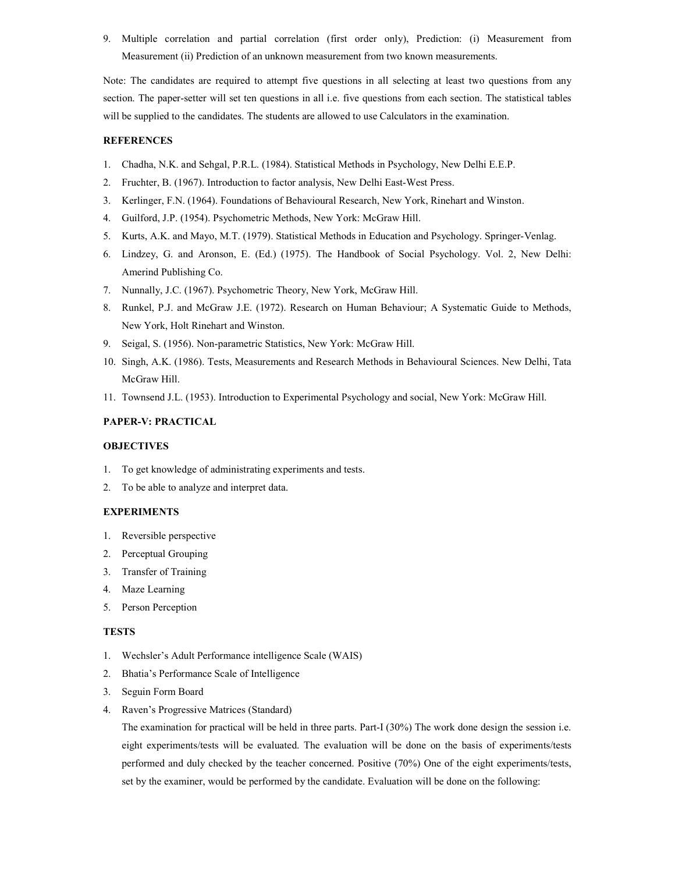9. Multiple correlation and partial correlation (first order only), Prediction: (i) Measurement from Measurement (ii) Prediction of an unknown measurement from two known measurements.

Note: The candidates are required to attempt five questions in all selecting at least two questions from any section. The paper-setter will set ten questions in all i.e. five questions from each section. The statistical tables will be supplied to the candidates. The students are allowed to use Calculators in the examination.

# **REFERENCES**

- 1. Chadha, N.K. and Sehgal, P.R.L. (1984). Statistical Methods in Psychology, New Delhi E.E.P.
- 2. Fruchter, B. (1967). Introduction to factor analysis, New Delhi East-West Press.
- 3. Kerlinger, F.N. (1964). Foundations of Behavioural Research, New York, Rinehart and Winston.
- 4. Guilford, J.P. (1954). Psychometric Methods, New York: McGraw Hill.
- 5. Kurts, A.K. and Mayo, M.T. (1979). Statistical Methods in Education and Psychology. Springer-Venlag.
- 6. Lindzey, G. and Aronson, E. (Ed.) (1975). The Handbook of Social Psychology. Vol. 2, New Delhi: Amerind Publishing Co.
- 7. Nunnally, J.C. (1967). Psychometric Theory, New York, McGraw Hill.
- 8. Runkel, P.J. and McGraw J.E. (1972). Research on Human Behaviour; A Systematic Guide to Methods, New York, Holt Rinehart and Winston.
- 9. Seigal, S. (1956). Non-parametric Statistics, New York: McGraw Hill.
- 10. Singh, A.K. (1986). Tests, Measurements and Research Methods in Behavioural Sciences. New Delhi, Tata McGraw Hill.
- 11. Townsend J.L. (1953). Introduction to Experimental Psychology and social, New York: McGraw Hill.

# PAPER-V: PRACTICAL

#### **OBJECTIVES**

- 1. To get knowledge of administrating experiments and tests.
- 2. To be able to analyze and interpret data.

# EXPERIMENTS

- 1. Reversible perspective
- 2. Perceptual Grouping
- 3. Transfer of Training
- 4. Maze Learning
- 5. Person Perception

#### TESTS

- 1. Wechsler's Adult Performance intelligence Scale (WAIS)
- 2. Bhatia's Performance Scale of Intelligence
- 3. Seguin Form Board
- 4. Raven's Progressive Matrices (Standard)

The examination for practical will be held in three parts. Part-I (30%) The work done design the session i.e. eight experiments/tests will be evaluated. The evaluation will be done on the basis of experiments/tests performed and duly checked by the teacher concerned. Positive (70%) One of the eight experiments/tests, set by the examiner, would be performed by the candidate. Evaluation will be done on the following: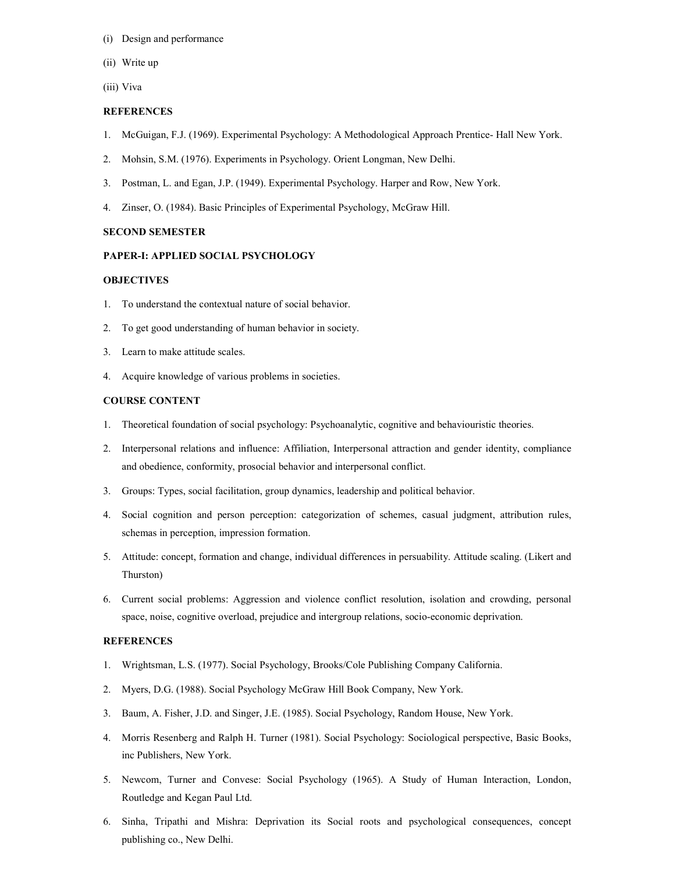- (i) Design and performance
- (ii) Write up
- (iii) Viva

#### **REFERENCES**

- 1. McGuigan, F.J. (1969). Experimental Psychology: A Methodological Approach Prentice- Hall New York.
- 2. Mohsin, S.M. (1976). Experiments in Psychology. Orient Longman, New Delhi.
- 3. Postman, L. and Egan, J.P. (1949). Experimental Psychology. Harper and Row, New York.
- 4. Zinser, O. (1984). Basic Principles of Experimental Psychology, McGraw Hill.

#### SECOND SEMESTER

#### PAPER-I: APPLIED SOCIAL PSYCHOLOGY

# **OBJECTIVES**

- 1. To understand the contextual nature of social behavior.
- 2. To get good understanding of human behavior in society.
- 3. Learn to make attitude scales.
- 4. Acquire knowledge of various problems in societies.

#### COURSE CONTENT

- 1. Theoretical foundation of social psychology: Psychoanalytic, cognitive and behaviouristic theories.
- 2. Interpersonal relations and influence: Affiliation, Interpersonal attraction and gender identity, compliance and obedience, conformity, prosocial behavior and interpersonal conflict.
- 3. Groups: Types, social facilitation, group dynamics, leadership and political behavior.
- 4. Social cognition and person perception: categorization of schemes, casual judgment, attribution rules, schemas in perception, impression formation.
- 5. Attitude: concept, formation and change, individual differences in persuability. Attitude scaling. (Likert and Thurston)
- 6. Current social problems: Aggression and violence conflict resolution, isolation and crowding, personal space, noise, cognitive overload, prejudice and intergroup relations, socio-economic deprivation.

- 1. Wrightsman, L.S. (1977). Social Psychology, Brooks/Cole Publishing Company California.
- 2. Myers, D.G. (1988). Social Psychology McGraw Hill Book Company, New York.
- 3. Baum, A. Fisher, J.D. and Singer, J.E. (1985). Social Psychology, Random House, New York.
- 4. Morris Resenberg and Ralph H. Turner (1981). Social Psychology: Sociological perspective, Basic Books, inc Publishers, New York.
- 5. Newcom, Turner and Convese: Social Psychology (1965). A Study of Human Interaction, London, Routledge and Kegan Paul Ltd.
- 6. Sinha, Tripathi and Mishra: Deprivation its Social roots and psychological consequences, concept publishing co., New Delhi.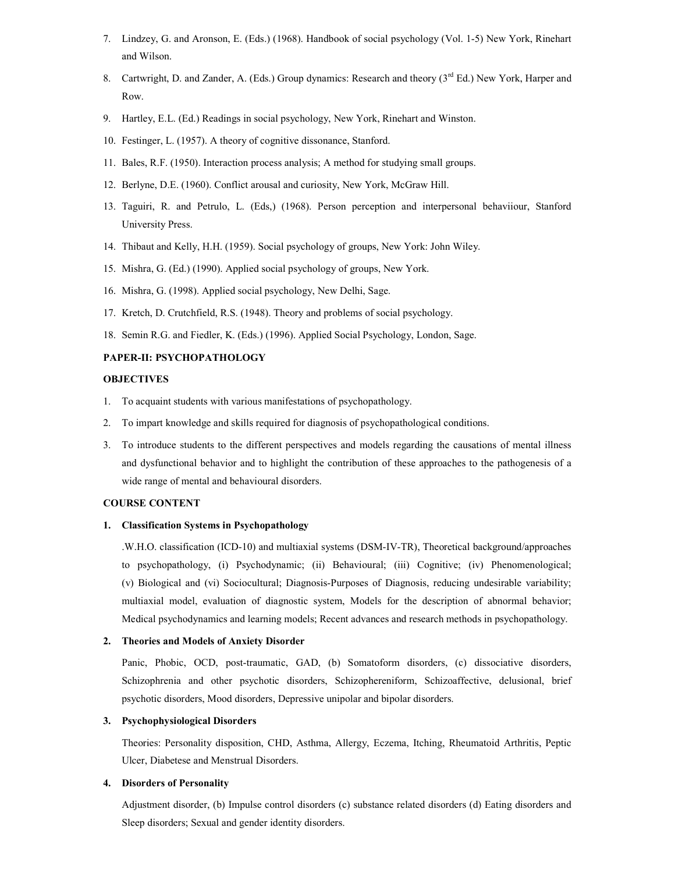- 7. Lindzey, G. and Aronson, E. (Eds.) (1968). Handbook of social psychology (Vol. 1-5) New York, Rinehart and Wilson.
- 8. Cartwright, D. and Zander, A. (Eds.) Group dynamics: Research and theory (3<sup>rd</sup> Ed.) New York, Harper and Row.
- 9. Hartley, E.L. (Ed.) Readings in social psychology, New York, Rinehart and Winston.
- 10. Festinger, L. (1957). A theory of cognitive dissonance, Stanford.
- 11. Bales, R.F. (1950). Interaction process analysis; A method for studying small groups.
- 12. Berlyne, D.E. (1960). Conflict arousal and curiosity, New York, McGraw Hill.
- 13. Taguiri, R. and Petrulo, L. (Eds,) (1968). Person perception and interpersonal behaviiour, Stanford University Press.
- 14. Thibaut and Kelly, H.H. (1959). Social psychology of groups, New York: John Wiley.
- 15. Mishra, G. (Ed.) (1990). Applied social psychology of groups, New York.
- 16. Mishra, G. (1998). Applied social psychology, New Delhi, Sage.
- 17. Kretch, D. Crutchfield, R.S. (1948). Theory and problems of social psychology.
- 18. Semin R.G. and Fiedler, K. (Eds.) (1996). Applied Social Psychology, London, Sage.

# PAPER-II: PSYCHOPATHOLOGY

# **OBJECTIVES**

- 1. To acquaint students with various manifestations of psychopathology.
- 2. To impart knowledge and skills required for diagnosis of psychopathological conditions.
- 3. To introduce students to the different perspectives and models regarding the causations of mental illness and dysfunctional behavior and to highlight the contribution of these approaches to the pathogenesis of a wide range of mental and behavioural disorders.

#### COURSE CONTENT

# 1. Classification Systems in Psychopathology

.W.H.O. classification (ICD-10) and multiaxial systems (DSM-IV-TR), Theoretical background/approaches to psychopathology, (i) Psychodynamic; (ii) Behavioural; (iii) Cognitive; (iv) Phenomenological; (v) Biological and (vi) Sociocultural; Diagnosis-Purposes of Diagnosis, reducing undesirable variability; multiaxial model, evaluation of diagnostic system, Models for the description of abnormal behavior; Medical psychodynamics and learning models; Recent advances and research methods in psychopathology.

## 2. Theories and Models of Anxiety Disorder

Panic, Phobic, OCD, post-traumatic, GAD, (b) Somatoform disorders, (c) dissociative disorders, Schizophrenia and other psychotic disorders, Schizophereniform, Schizoaffective, delusional, brief psychotic disorders, Mood disorders, Depressive unipolar and bipolar disorders.

#### 3. Psychophysiological Disorders

Theories: Personality disposition, CHD, Asthma, Allergy, Eczema, Itching, Rheumatoid Arthritis, Peptic Ulcer, Diabetese and Menstrual Disorders.

# 4. Disorders of Personality

Adjustment disorder, (b) Impulse control disorders (c) substance related disorders (d) Eating disorders and Sleep disorders; Sexual and gender identity disorders.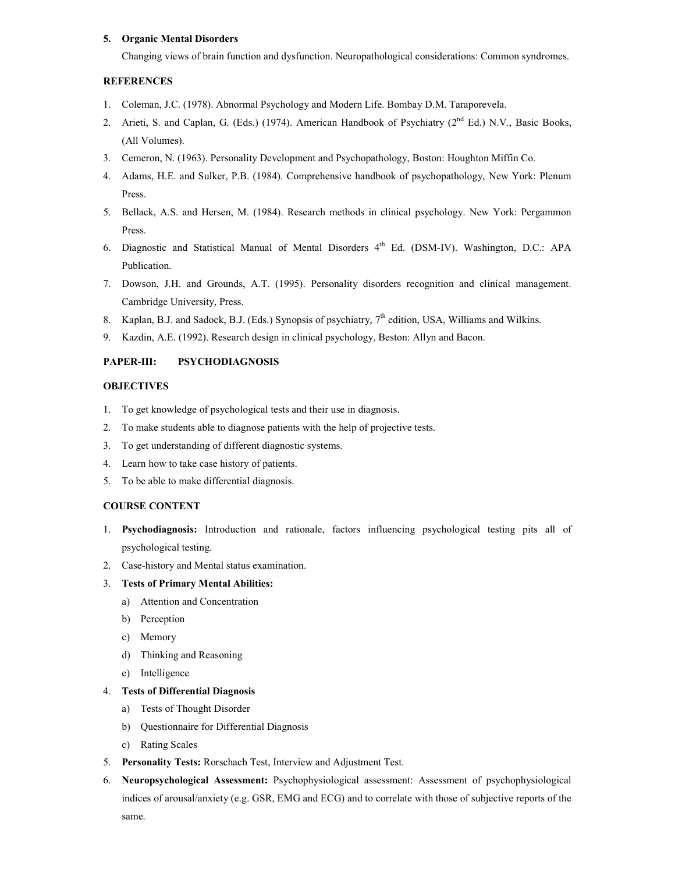# 5. Organic Mental Disorders

Changing views of brain function and dysfunction. Neuropathological considerations: Common syndromes.

# **REFERENCES**

- 1. Coleman, J.C. (1978). Abnormal Psychology and Modern Life. Bombay D.M. Taraporevela.
- 2. Arieti, S. and Caplan, G. (Eds.) (1974). American Handbook of Psychiatry ( $2<sup>nd</sup> Ed$ .) N.V., Basic Books, (All Volumes).
- 3. Cemeron, N. (1963). Personality Development and Psychopathology, Boston: Houghton Miffin Co.
- 4. Adams, H.E. and Sulker, P.B. (1984). Comprehensive handbook of psychopathology, New York: Plenum Press.
- 5. Bellack, A.S. and Hersen, M. (1984). Research methods in clinical psychology. New York: Pergammon Press.
- 6. Diagnostic and Statistical Manual of Mental Disorders 4<sup>th</sup> Ed. (DSM-IV). Washington, D.C.: APA Publication.
- 7. Dowson, J.H. and Grounds, A.T. (1995). Personality disorders recognition and clinical management. Cambridge University, Press.
- 8. Kaplan, B.J. and Sadock, B.J. (Eds.) Synopsis of psychiatry, 7<sup>th</sup> edition, USA, Williams and Wilkins.
- 9. Kazdin, A.E. (1992). Research design in clinical psychology, Beston: Allyn and Bacon.

# PAPER-III: PSYCHODIAGNOSIS

# **OBJECTIVES**

- 1. To get knowledge of psychological tests and their use in diagnosis.
- 2. To make students able to diagnose patients with the help of projective tests.
- 3. To get understanding of different diagnostic systems.
- 4. Learn how to take case history of patients.
- 5. To be able to make differential diagnosis.

# COURSE CONTENT

- 1. Psychodiagnosis: Introduction and rationale, factors influencing psychological testing pits all of psychological testing.
- 2. Case-history and Mental status examination.

# 3. Tests of Primary Mental Abilities:

- a) Attention and Concentration
- b) Perception
- c) Memory
- d) Thinking and Reasoning
- e) Intelligence

# 4. Tests of Differential Diagnosis

- a) Tests of Thought Disorder
- b) Questionnaire for Differential Diagnosis
- c) Rating Scales
- 5. Personality Tests: Rorschach Test, Interview and Adjustment Test.
- 6. Neuropsychological Assessment: Psychophysiological assessment: Assessment of psychophysiological indices of arousal/anxiety (e.g. GSR, EMG and ECG) and to correlate with those of subjective reports of the same.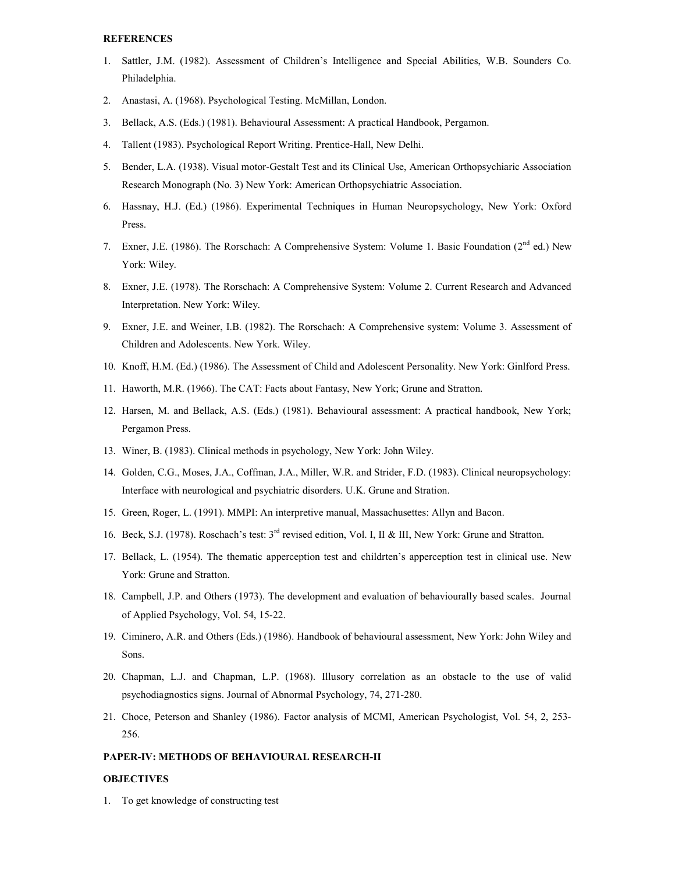#### **REFERENCES**

- 1. Sattler, J.M. (1982). Assessment of Children's Intelligence and Special Abilities, W.B. Sounders Co. Philadelphia.
- 2. Anastasi, A. (1968). Psychological Testing. McMillan, London.
- 3. Bellack, A.S. (Eds.) (1981). Behavioural Assessment: A practical Handbook, Pergamon.
- 4. Tallent (1983). Psychological Report Writing. Prentice-Hall, New Delhi.
- 5. Bender, L.A. (1938). Visual motor-Gestalt Test and its Clinical Use, American Orthopsychiaric Association Research Monograph (No. 3) New York: American Orthopsychiatric Association.
- 6. Hassnay, H.J. (Ed.) (1986). Experimental Techniques in Human Neuropsychology, New York: Oxford Press.
- 7. Exner, J.E. (1986). The Rorschach: A Comprehensive System: Volume 1. Basic Foundation (2<sup>nd</sup> ed.) New York: Wiley.
- 8. Exner, J.E. (1978). The Rorschach: A Comprehensive System: Volume 2. Current Research and Advanced Interpretation. New York: Wiley.
- 9. Exner, J.E. and Weiner, I.B. (1982). The Rorschach: A Comprehensive system: Volume 3. Assessment of Children and Adolescents. New York. Wiley.
- 10. Knoff, H.M. (Ed.) (1986). The Assessment of Child and Adolescent Personality. New York: Ginlford Press.
- 11. Haworth, M.R. (1966). The CAT: Facts about Fantasy, New York; Grune and Stratton.
- 12. Harsen, M. and Bellack, A.S. (Eds.) (1981). Behavioural assessment: A practical handbook, New York; Pergamon Press.
- 13. Winer, B. (1983). Clinical methods in psychology, New York: John Wiley.
- 14. Golden, C.G., Moses, J.A., Coffman, J.A., Miller, W.R. and Strider, F.D. (1983). Clinical neuropsychology: Interface with neurological and psychiatric disorders. U.K. Grune and Stration.
- 15. Green, Roger, L. (1991). MMPI: An interpretive manual, Massachusettes: Allyn and Bacon.
- 16. Beck, S.J. (1978). Roschach's test: 3rd revised edition, Vol. I, II & III, New York: Grune and Stratton.
- 17. Bellack, L. (1954). The thematic apperception test and childrten's apperception test in clinical use. New York: Grune and Stratton.
- 18. Campbell, J.P. and Others (1973). The development and evaluation of behaviourally based scales. Journal of Applied Psychology, Vol. 54, 15-22.
- 19. Ciminero, A.R. and Others (Eds.) (1986). Handbook of behavioural assessment, New York: John Wiley and Sons.
- 20. Chapman, L.J. and Chapman, L.P. (1968). Illusory correlation as an obstacle to the use of valid psychodiagnostics signs. Journal of Abnormal Psychology, 74, 271-280.
- 21. Choce, Peterson and Shanley (1986). Factor analysis of MCMI, American Psychologist, Vol. 54, 2, 253- 256.

# PAPER-IV: METHODS OF BEHAVIOURAL RESEARCH-II

#### **OBJECTIVES**

1. To get knowledge of constructing test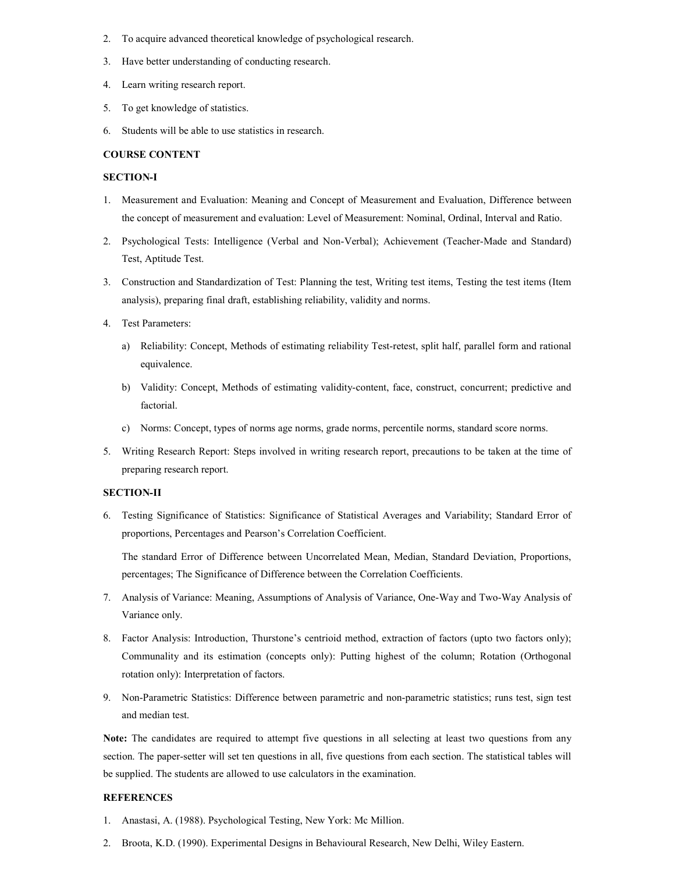- 2. To acquire advanced theoretical knowledge of psychological research.
- 3. Have better understanding of conducting research.
- 4. Learn writing research report.
- 5. To get knowledge of statistics.
- 6. Students will be able to use statistics in research.

#### COURSE CONTENT

#### SECTION-I

- 1. Measurement and Evaluation: Meaning and Concept of Measurement and Evaluation, Difference between the concept of measurement and evaluation: Level of Measurement: Nominal, Ordinal, Interval and Ratio.
- 2. Psychological Tests: Intelligence (Verbal and Non-Verbal); Achievement (Teacher-Made and Standard) Test, Aptitude Test.
- 3. Construction and Standardization of Test: Planning the test, Writing test items, Testing the test items (Item analysis), preparing final draft, establishing reliability, validity and norms.
- 4. Test Parameters:
	- a) Reliability: Concept, Methods of estimating reliability Test-retest, split half, parallel form and rational equivalence.
	- b) Validity: Concept, Methods of estimating validity-content, face, construct, concurrent; predictive and factorial.
	- c) Norms: Concept, types of norms age norms, grade norms, percentile norms, standard score norms.
- 5. Writing Research Report: Steps involved in writing research report, precautions to be taken at the time of preparing research report.

# SECTION-II

6. Testing Significance of Statistics: Significance of Statistical Averages and Variability; Standard Error of proportions, Percentages and Pearson's Correlation Coefficient.

The standard Error of Difference between Uncorrelated Mean, Median, Standard Deviation, Proportions, percentages; The Significance of Difference between the Correlation Coefficients.

- 7. Analysis of Variance: Meaning, Assumptions of Analysis of Variance, One-Way and Two-Way Analysis of Variance only.
- 8. Factor Analysis: Introduction, Thurstone's centrioid method, extraction of factors (upto two factors only); Communality and its estimation (concepts only): Putting highest of the column; Rotation (Orthogonal rotation only): Interpretation of factors.
- 9. Non-Parametric Statistics: Difference between parametric and non-parametric statistics; runs test, sign test and median test.

Note: The candidates are required to attempt five questions in all selecting at least two questions from any section. The paper-setter will set ten questions in all, five questions from each section. The statistical tables will be supplied. The students are allowed to use calculators in the examination.

- 1. Anastasi, A. (1988). Psychological Testing, New York: Mc Million.
- 2. Broota, K.D. (1990). Experimental Designs in Behavioural Research, New Delhi, Wiley Eastern.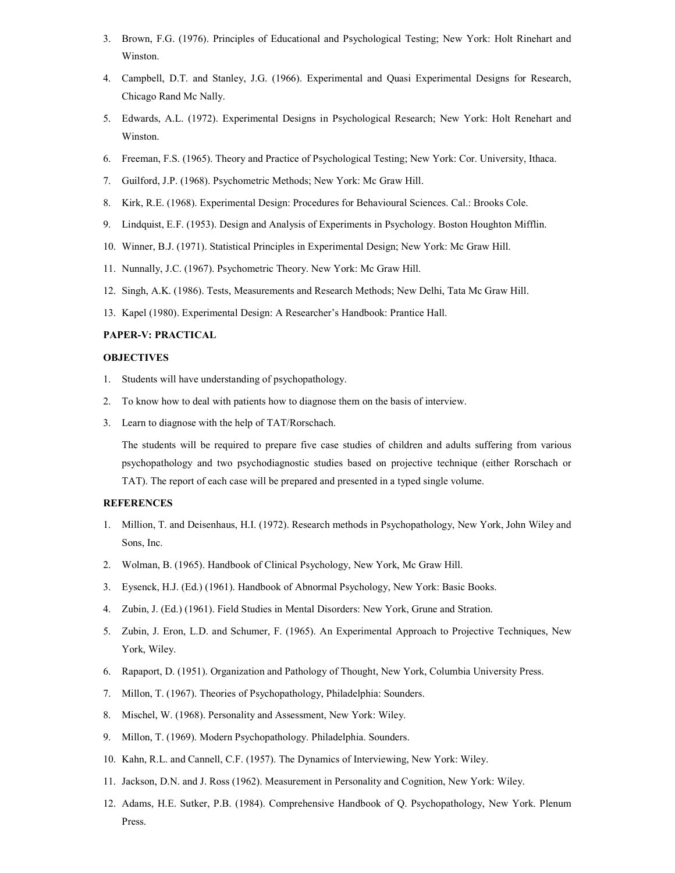- 3. Brown, F.G. (1976). Principles of Educational and Psychological Testing; New York: Holt Rinehart and Winston.
- 4. Campbell, D.T. and Stanley, J.G. (1966). Experimental and Quasi Experimental Designs for Research, Chicago Rand Mc Nally.
- 5. Edwards, A.L. (1972). Experimental Designs in Psychological Research; New York: Holt Renehart and Winston.
- 6. Freeman, F.S. (1965). Theory and Practice of Psychological Testing; New York: Cor. University, Ithaca.
- 7. Guilford, J.P. (1968). Psychometric Methods; New York: Mc Graw Hill.
- 8. Kirk, R.E. (1968). Experimental Design: Procedures for Behavioural Sciences. Cal.: Brooks Cole.
- 9. Lindquist, E.F. (1953). Design and Analysis of Experiments in Psychology. Boston Houghton Mifflin.
- 10. Winner, B.J. (1971). Statistical Principles in Experimental Design; New York: Mc Graw Hill.
- 11. Nunnally, J.C. (1967). Psychometric Theory. New York: Mc Graw Hill.
- 12. Singh, A.K. (1986). Tests, Measurements and Research Methods; New Delhi, Tata Mc Graw Hill.
- 13. Kapel (1980). Experimental Design: A Researcher's Handbook: Prantice Hall.

# PAPER-V: PRACTICAL

# **OBJECTIVES**

- 1. Students will have understanding of psychopathology.
- 2. To know how to deal with patients how to diagnose them on the basis of interview.
- 3. Learn to diagnose with the help of TAT/Rorschach.

The students will be required to prepare five case studies of children and adults suffering from various psychopathology and two psychodiagnostic studies based on projective technique (either Rorschach or TAT). The report of each case will be prepared and presented in a typed single volume.

- 1. Million, T. and Deisenhaus, H.I. (1972). Research methods in Psychopathology, New York, John Wiley and Sons, Inc.
- 2. Wolman, B. (1965). Handbook of Clinical Psychology, New York, Mc Graw Hill.
- 3. Eysenck, H.J. (Ed.) (1961). Handbook of Abnormal Psychology, New York: Basic Books.
- 4. Zubin, J. (Ed.) (1961). Field Studies in Mental Disorders: New York, Grune and Stration.
- 5. Zubin, J. Eron, L.D. and Schumer, F. (1965). An Experimental Approach to Projective Techniques, New York, Wiley.
- 6. Rapaport, D. (1951). Organization and Pathology of Thought, New York, Columbia University Press.
- 7. Millon, T. (1967). Theories of Psychopathology, Philadelphia: Sounders.
- 8. Mischel, W. (1968). Personality and Assessment, New York: Wiley.
- 9. Millon, T. (1969). Modern Psychopathology. Philadelphia. Sounders.
- 10. Kahn, R.L. and Cannell, C.F. (1957). The Dynamics of Interviewing, New York: Wiley.
- 11. Jackson, D.N. and J. Ross (1962). Measurement in Personality and Cognition, New York: Wiley.
- 12. Adams, H.E. Sutker, P.B. (1984). Comprehensive Handbook of Q. Psychopathology, New York. Plenum Press.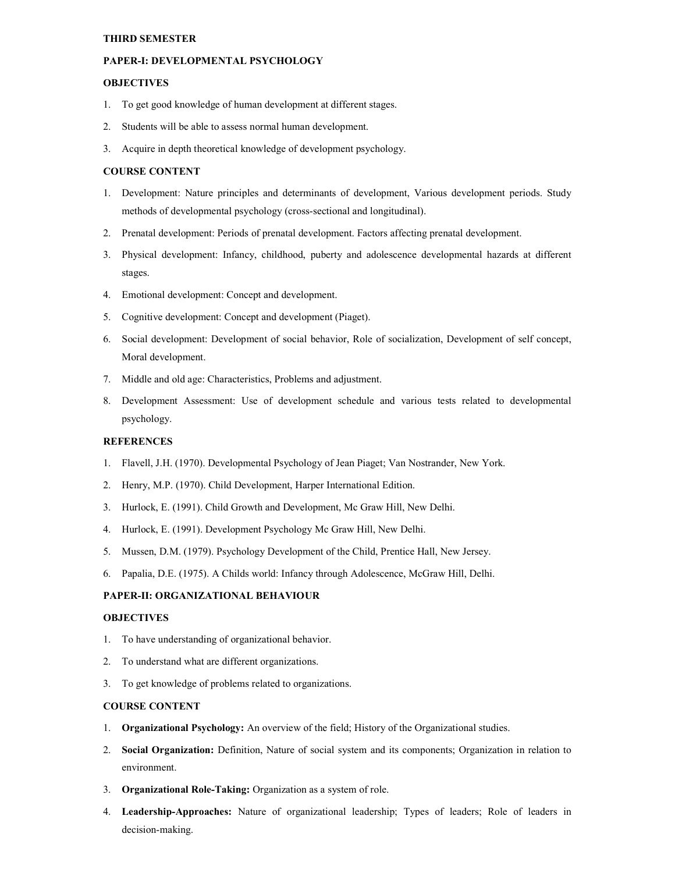#### THIRD SEMESTER

# PAPER-I: DEVELOPMENTAL PSYCHOLOGY

#### **OBJECTIVES**

- 1. To get good knowledge of human development at different stages.
- 2. Students will be able to assess normal human development.
- 3. Acquire in depth theoretical knowledge of development psychology.

# COURSE CONTENT

- 1. Development: Nature principles and determinants of development, Various development periods. Study methods of developmental psychology (cross-sectional and longitudinal).
- 2. Prenatal development: Periods of prenatal development. Factors affecting prenatal development.
- 3. Physical development: Infancy, childhood, puberty and adolescence developmental hazards at different stages.
- 4. Emotional development: Concept and development.
- 5. Cognitive development: Concept and development (Piaget).
- 6. Social development: Development of social behavior, Role of socialization, Development of self concept, Moral development.
- 7. Middle and old age: Characteristics, Problems and adjustment.
- 8. Development Assessment: Use of development schedule and various tests related to developmental psychology.

#### **REFERENCES**

- 1. Flavell, J.H. (1970). Developmental Psychology of Jean Piaget; Van Nostrander, New York.
- 2. Henry, M.P. (1970). Child Development, Harper International Edition.
- 3. Hurlock, E. (1991). Child Growth and Development, Mc Graw Hill, New Delhi.
- 4. Hurlock, E. (1991). Development Psychology Mc Graw Hill, New Delhi.
- 5. Mussen, D.M. (1979). Psychology Development of the Child, Prentice Hall, New Jersey.
- 6. Papalia, D.E. (1975). A Childs world: Infancy through Adolescence, McGraw Hill, Delhi.

# PAPER-II: ORGANIZATIONAL BEHAVIOUR

# **OBJECTIVES**

- 1. To have understanding of organizational behavior.
- 2. To understand what are different organizations.
- 3. To get knowledge of problems related to organizations.

#### COURSE CONTENT

- 1. Organizational Psychology: An overview of the field; History of the Organizational studies.
- 2. Social Organization: Definition, Nature of social system and its components; Organization in relation to environment.
- 3. Organizational Role-Taking: Organization as a system of role.
- 4. Leadership-Approaches: Nature of organizational leadership; Types of leaders; Role of leaders in decision-making.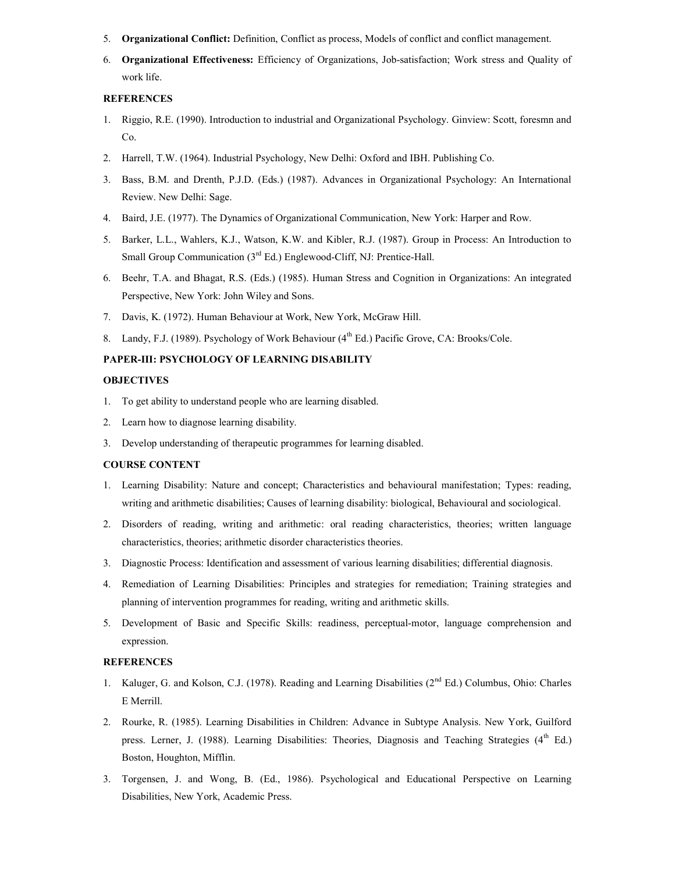- 5. Organizational Conflict: Definition, Conflict as process, Models of conflict and conflict management.
- 6. Organizational Effectiveness: Efficiency of Organizations, Job-satisfaction; Work stress and Quality of work life.

#### **REFERENCES**

- 1. Riggio, R.E. (1990). Introduction to industrial and Organizational Psychology. Ginview: Scott, foresmn and Co.
- 2. Harrell, T.W. (1964). Industrial Psychology, New Delhi: Oxford and IBH. Publishing Co.
- 3. Bass, B.M. and Drenth, P.J.D. (Eds.) (1987). Advances in Organizational Psychology: An International Review. New Delhi: Sage.
- 4. Baird, J.E. (1977). The Dynamics of Organizational Communication, New York: Harper and Row.
- 5. Barker, L.L., Wahlers, K.J., Watson, K.W. and Kibler, R.J. (1987). Group in Process: An Introduction to Small Group Communication  $(3<sup>rd</sup> Ed.)$  Englewood-Cliff, NJ: Prentice-Hall.
- 6. Beehr, T.A. and Bhagat, R.S. (Eds.) (1985). Human Stress and Cognition in Organizations: An integrated Perspective, New York: John Wiley and Sons.
- 7. Davis, K. (1972). Human Behaviour at Work, New York, McGraw Hill.
- 8. Landy, F.J. (1989). Psychology of Work Behaviour  $(4<sup>th</sup> Ed.)$  Pacific Grove, CA: Brooks/Cole.

# PAPER-III: PSYCHOLOGY OF LEARNING DISABILITY

#### **OBJECTIVES**

- 1. To get ability to understand people who are learning disabled.
- 2. Learn how to diagnose learning disability.
- 3. Develop understanding of therapeutic programmes for learning disabled.

#### COURSE CONTENT

- 1. Learning Disability: Nature and concept; Characteristics and behavioural manifestation; Types: reading, writing and arithmetic disabilities; Causes of learning disability: biological, Behavioural and sociological.
- 2. Disorders of reading, writing and arithmetic: oral reading characteristics, theories; written language characteristics, theories; arithmetic disorder characteristics theories.
- 3. Diagnostic Process: Identification and assessment of various learning disabilities; differential diagnosis.
- 4. Remediation of Learning Disabilities: Principles and strategies for remediation; Training strategies and planning of intervention programmes for reading, writing and arithmetic skills.
- 5. Development of Basic and Specific Skills: readiness, perceptual-motor, language comprehension and expression.

- 1. Kaluger, G. and Kolson, C.J. (1978). Reading and Learning Disabilities (2<sup>nd</sup> Ed.) Columbus, Ohio: Charles E Merrill.
- 2. Rourke, R. (1985). Learning Disabilities in Children: Advance in Subtype Analysis. New York, Guilford press. Lerner, J. (1988). Learning Disabilities: Theories, Diagnosis and Teaching Strategies (4<sup>th</sup> Ed.) Boston, Houghton, Mifflin.
- 3. Torgensen, J. and Wong, B. (Ed., 1986). Psychological and Educational Perspective on Learning Disabilities, New York, Academic Press.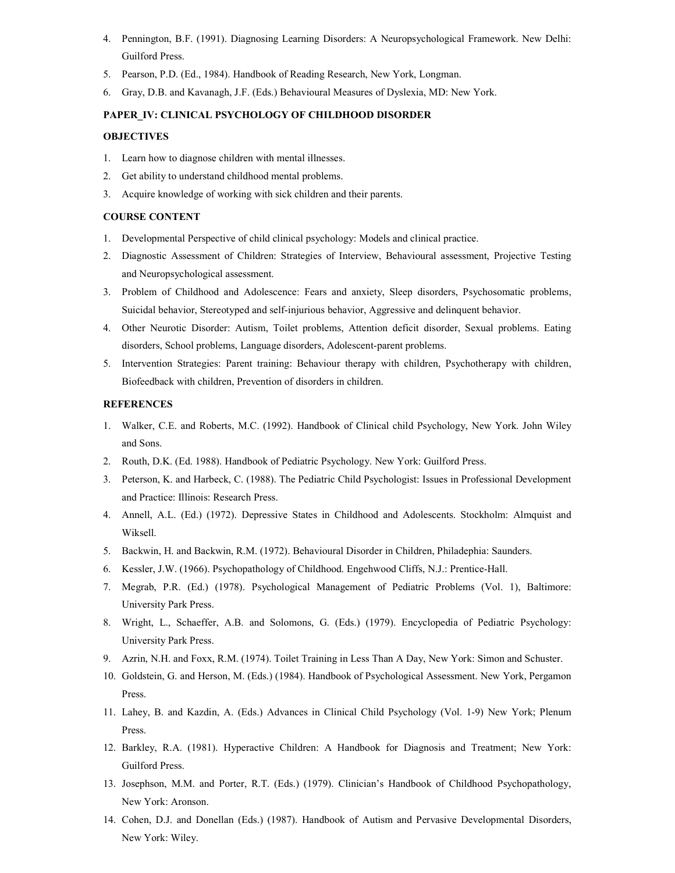- 4. Pennington, B.F. (1991). Diagnosing Learning Disorders: A Neuropsychological Framework. New Delhi: Guilford Press.
- 5. Pearson, P.D. (Ed., 1984). Handbook of Reading Research, New York, Longman.
- 6. Gray, D.B. and Kavanagh, J.F. (Eds.) Behavioural Measures of Dyslexia, MD: New York.

# PAPER\_IV: CLINICAL PSYCHOLOGY OF CHILDHOOD DISORDER

## **OBJECTIVES**

- 1. Learn how to diagnose children with mental illnesses.
- 2. Get ability to understand childhood mental problems.
- 3. Acquire knowledge of working with sick children and their parents.

# COURSE CONTENT

- 1. Developmental Perspective of child clinical psychology: Models and clinical practice.
- 2. Diagnostic Assessment of Children: Strategies of Interview, Behavioural assessment, Projective Testing and Neuropsychological assessment.
- 3. Problem of Childhood and Adolescence: Fears and anxiety, Sleep disorders, Psychosomatic problems, Suicidal behavior, Stereotyped and self-injurious behavior, Aggressive and delinquent behavior.
- 4. Other Neurotic Disorder: Autism, Toilet problems, Attention deficit disorder, Sexual problems. Eating disorders, School problems, Language disorders, Adolescent-parent problems.
- 5. Intervention Strategies: Parent training: Behaviour therapy with children, Psychotherapy with children, Biofeedback with children, Prevention of disorders in children.

- 1. Walker, C.E. and Roberts, M.C. (1992). Handbook of Clinical child Psychology, New York. John Wiley and Sons.
- 2. Routh, D.K. (Ed. 1988). Handbook of Pediatric Psychology. New York: Guilford Press.
- 3. Peterson, K. and Harbeck, C. (1988). The Pediatric Child Psychologist: Issues in Professional Development and Practice: Illinois: Research Press.
- 4. Annell, A.L. (Ed.) (1972). Depressive States in Childhood and Adolescents. Stockholm: Almquist and Wiksell.
- 5. Backwin, H. and Backwin, R.M. (1972). Behavioural Disorder in Children, Philadephia: Saunders.
- 6. Kessler, J.W. (1966). Psychopathology of Childhood. Engehwood Cliffs, N.J.: Prentice-Hall.
- 7. Megrab, P.R. (Ed.) (1978). Psychological Management of Pediatric Problems (Vol. 1), Baltimore: University Park Press.
- 8. Wright, L., Schaeffer, A.B. and Solomons, G. (Eds.) (1979). Encyclopedia of Pediatric Psychology: University Park Press.
- 9. Azrin, N.H. and Foxx, R.M. (1974). Toilet Training in Less Than A Day, New York: Simon and Schuster.
- 10. Goldstein, G. and Herson, M. (Eds.) (1984). Handbook of Psychological Assessment. New York, Pergamon Press.
- 11. Lahey, B. and Kazdin, A. (Eds.) Advances in Clinical Child Psychology (Vol. 1-9) New York; Plenum Press.
- 12. Barkley, R.A. (1981). Hyperactive Children: A Handbook for Diagnosis and Treatment; New York: Guilford Press.
- 13. Josephson, M.M. and Porter, R.T. (Eds.) (1979). Clinician's Handbook of Childhood Psychopathology, New York: Aronson.
- 14. Cohen, D.J. and Donellan (Eds.) (1987). Handbook of Autism and Pervasive Developmental Disorders, New York: Wiley.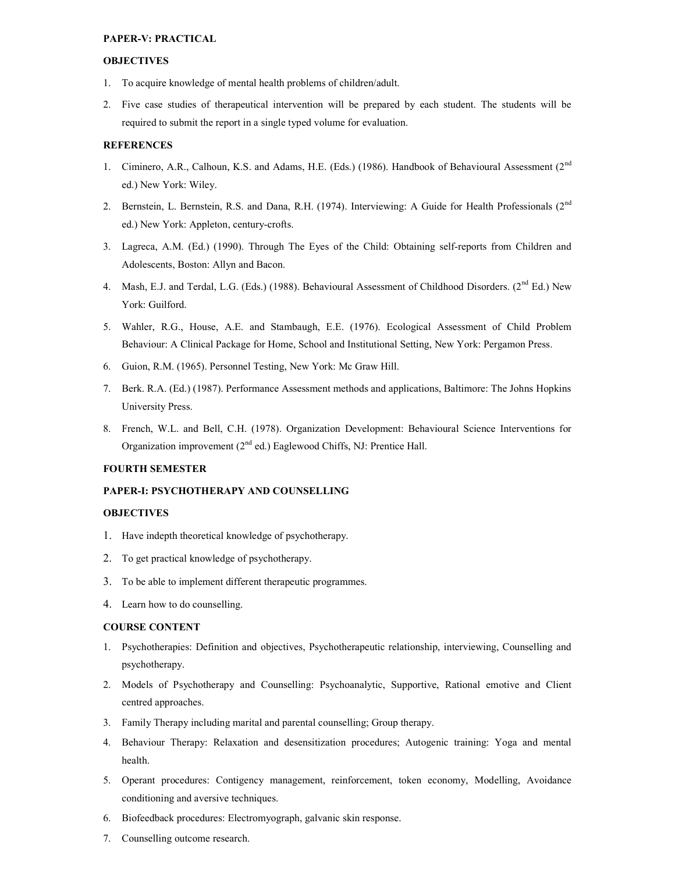#### PAPER-V: PRACTICAL

#### **OBJECTIVES**

- 1. To acquire knowledge of mental health problems of children/adult.
- 2. Five case studies of therapeutical intervention will be prepared by each student. The students will be required to submit the report in a single typed volume for evaluation.

#### REFERENCES

- 1. Ciminero, A.R., Calhoun, K.S. and Adams, H.E. (Eds.) (1986). Handbook of Behavioural Assessment (2<sup>nd</sup> ed.) New York: Wiley.
- 2. Bernstein, L. Bernstein, R.S. and Dana, R.H. (1974). Interviewing: A Guide for Health Professionals (2<sup>nd</sup> ed.) New York: Appleton, century-crofts.
- 3. Lagreca, A.M. (Ed.) (1990). Through The Eyes of the Child: Obtaining self-reports from Children and Adolescents, Boston: Allyn and Bacon.
- 4. Mash, E.J. and Terdal, L.G. (Eds.) (1988). Behavioural Assessment of Childhood Disorders. (2<sup>nd</sup> Ed.) New York: Guilford.
- 5. Wahler, R.G., House, A.E. and Stambaugh, E.E. (1976). Ecological Assessment of Child Problem Behaviour: A Clinical Package for Home, School and Institutional Setting, New York: Pergamon Press.
- 6. Guion, R.M. (1965). Personnel Testing, New York: Mc Graw Hill.
- 7. Berk. R.A. (Ed.) (1987). Performance Assessment methods and applications, Baltimore: The Johns Hopkins University Press.
- 8. French, W.L. and Bell, C.H. (1978). Organization Development: Behavioural Science Interventions for Organization improvement (2nd ed.) Eaglewood Chiffs, NJ: Prentice Hall.

#### FOURTH SEMESTER

# PAPER-I: PSYCHOTHERAPY AND COUNSELLING

#### **OBJECTIVES**

- 1. Have indepth theoretical knowledge of psychotherapy.
- 2. To get practical knowledge of psychotherapy.
- 3. To be able to implement different therapeutic programmes.
- 4. Learn how to do counselling.

#### COURSE CONTENT

- 1. Psychotherapies: Definition and objectives, Psychotherapeutic relationship, interviewing, Counselling and psychotherapy.
- 2. Models of Psychotherapy and Counselling: Psychoanalytic, Supportive, Rational emotive and Client centred approaches.
- 3. Family Therapy including marital and parental counselling; Group therapy.
- 4. Behaviour Therapy: Relaxation and desensitization procedures; Autogenic training: Yoga and mental health.
- 5. Operant procedures: Contigency management, reinforcement, token economy, Modelling, Avoidance conditioning and aversive techniques.
- 6. Biofeedback procedures: Electromyograph, galvanic skin response.
- 7. Counselling outcome research.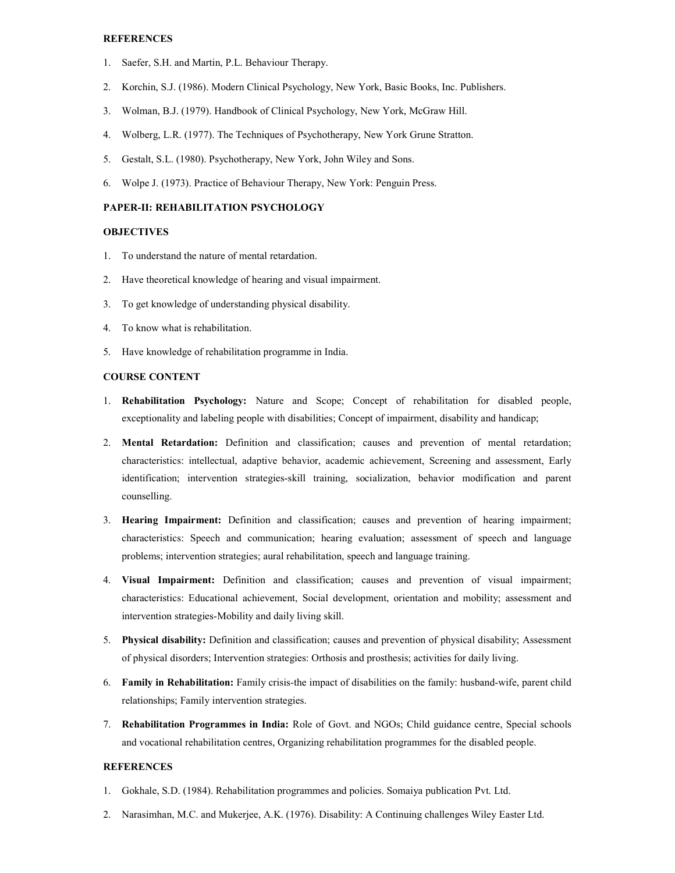# **REFERENCES**

- 1. Saefer, S.H. and Martin, P.L. Behaviour Therapy.
- 2. Korchin, S.J. (1986). Modern Clinical Psychology, New York, Basic Books, Inc. Publishers.
- 3. Wolman, B.J. (1979). Handbook of Clinical Psychology, New York, McGraw Hill.
- 4. Wolberg, L.R. (1977). The Techniques of Psychotherapy, New York Grune Stratton.
- 5. Gestalt, S.L. (1980). Psychotherapy, New York, John Wiley and Sons.
- 6. Wolpe J. (1973). Practice of Behaviour Therapy, New York: Penguin Press.

# PAPER-II: REHABILITATION PSYCHOLOGY

# **OBJECTIVES**

- 1. To understand the nature of mental retardation.
- 2. Have theoretical knowledge of hearing and visual impairment.
- 3. To get knowledge of understanding physical disability.
- 4. To know what is rehabilitation.
- 5. Have knowledge of rehabilitation programme in India.

# COURSE CONTENT

- 1. Rehabilitation Psychology: Nature and Scope; Concept of rehabilitation for disabled people, exceptionality and labeling people with disabilities; Concept of impairment, disability and handicap;
- 2. Mental Retardation: Definition and classification; causes and prevention of mental retardation; characteristics: intellectual, adaptive behavior, academic achievement, Screening and assessment, Early identification; intervention strategies-skill training, socialization, behavior modification and parent counselling.
- 3. Hearing Impairment: Definition and classification; causes and prevention of hearing impairment; characteristics: Speech and communication; hearing evaluation; assessment of speech and language problems; intervention strategies; aural rehabilitation, speech and language training.
- 4. Visual Impairment: Definition and classification; causes and prevention of visual impairment; characteristics: Educational achievement, Social development, orientation and mobility; assessment and intervention strategies-Mobility and daily living skill.
- 5. Physical disability: Definition and classification; causes and prevention of physical disability; Assessment of physical disorders; Intervention strategies: Orthosis and prosthesis; activities for daily living.
- 6. Family in Rehabilitation: Family crisis-the impact of disabilities on the family: husband-wife, parent child relationships; Family intervention strategies.
- 7. Rehabilitation Programmes in India: Role of Govt. and NGOs; Child guidance centre, Special schools and vocational rehabilitation centres, Organizing rehabilitation programmes for the disabled people.

- 1. Gokhale, S.D. (1984). Rehabilitation programmes and policies. Somaiya publication Pvt. Ltd.
- 2. Narasimhan, M.C. and Mukerjee, A.K. (1976). Disability: A Continuing challenges Wiley Easter Ltd.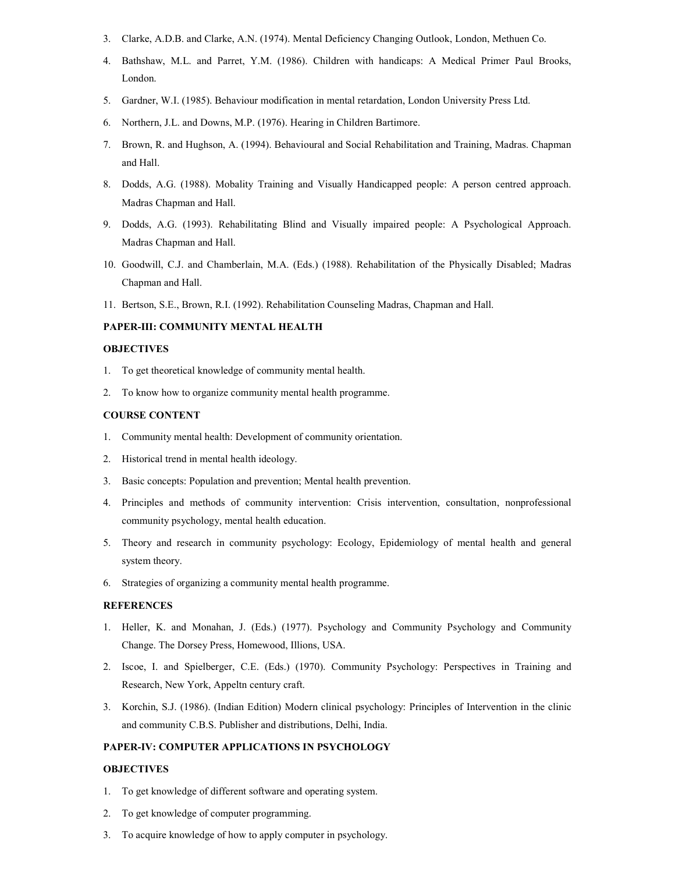- 3. Clarke, A.D.B. and Clarke, A.N. (1974). Mental Deficiency Changing Outlook, London, Methuen Co.
- 4. Bathshaw, M.L. and Parret, Y.M. (1986). Children with handicaps: A Medical Primer Paul Brooks, London.
- 5. Gardner, W.I. (1985). Behaviour modification in mental retardation, London University Press Ltd.
- 6. Northern, J.L. and Downs, M.P. (1976). Hearing in Children Bartimore.
- 7. Brown, R. and Hughson, A. (1994). Behavioural and Social Rehabilitation and Training, Madras. Chapman and Hall.
- 8. Dodds, A.G. (1988). Mobality Training and Visually Handicapped people: A person centred approach. Madras Chapman and Hall.
- 9. Dodds, A.G. (1993). Rehabilitating Blind and Visually impaired people: A Psychological Approach. Madras Chapman and Hall.
- 10. Goodwill, C.J. and Chamberlain, M.A. (Eds.) (1988). Rehabilitation of the Physically Disabled; Madras Chapman and Hall.
- 11. Bertson, S.E., Brown, R.I. (1992). Rehabilitation Counseling Madras, Chapman and Hall.

# PAPER-III: COMMUNITY MENTAL HEALTH

#### **OBJECTIVES**

- 1. To get theoretical knowledge of community mental health.
- 2. To know how to organize community mental health programme.

#### COURSE CONTENT

- 1. Community mental health: Development of community orientation.
- 2. Historical trend in mental health ideology.
- 3. Basic concepts: Population and prevention; Mental health prevention.
- 4. Principles and methods of community intervention: Crisis intervention, consultation, nonprofessional community psychology, mental health education.
- 5. Theory and research in community psychology: Ecology, Epidemiology of mental health and general system theory.
- 6. Strategies of organizing a community mental health programme.

#### **REFERENCES**

- 1. Heller, K. and Monahan, J. (Eds.) (1977). Psychology and Community Psychology and Community Change. The Dorsey Press, Homewood, Illions, USA.
- 2. Iscoe, I. and Spielberger, C.E. (Eds.) (1970). Community Psychology: Perspectives in Training and Research, New York, Appeltn century craft.
- 3. Korchin, S.J. (1986). (Indian Edition) Modern clinical psychology: Principles of Intervention in the clinic and community C.B.S. Publisher and distributions, Delhi, India.

#### PAPER-IV: COMPUTER APPLICATIONS IN PSYCHOLOGY

#### **OBJECTIVES**

- 1. To get knowledge of different software and operating system.
- 2. To get knowledge of computer programming.
- 3. To acquire knowledge of how to apply computer in psychology.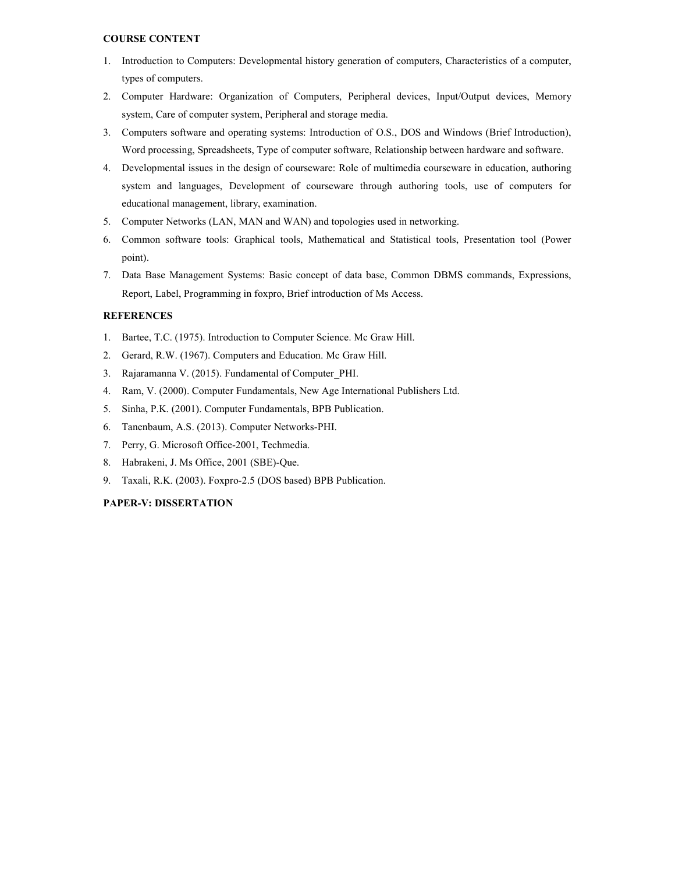# COURSE CONTENT

- 1. Introduction to Computers: Developmental history generation of computers, Characteristics of a computer, types of computers.
- 2. Computer Hardware: Organization of Computers, Peripheral devices, Input/Output devices, Memory system, Care of computer system, Peripheral and storage media.
- 3. Computers software and operating systems: Introduction of O.S., DOS and Windows (Brief Introduction), Word processing, Spreadsheets, Type of computer software, Relationship between hardware and software.
- 4. Developmental issues in the design of courseware: Role of multimedia courseware in education, authoring system and languages, Development of courseware through authoring tools, use of computers for educational management, library, examination.
- 5. Computer Networks (LAN, MAN and WAN) and topologies used in networking.
- 6. Common software tools: Graphical tools, Mathematical and Statistical tools, Presentation tool (Power point).
- 7. Data Base Management Systems: Basic concept of data base, Common DBMS commands, Expressions, Report, Label, Programming in foxpro, Brief introduction of Ms Access.

# **REFERENCES**

- 1. Bartee, T.C. (1975). Introduction to Computer Science. Mc Graw Hill.
- 2. Gerard, R.W. (1967). Computers and Education. Mc Graw Hill.
- 3. Rajaramanna V. (2015). Fundamental of Computer\_PHI.
- 4. Ram, V. (2000). Computer Fundamentals, New Age International Publishers Ltd.
- 5. Sinha, P.K. (2001). Computer Fundamentals, BPB Publication.
- 6. Tanenbaum, A.S. (2013). Computer Networks-PHI.
- 7. Perry, G. Microsoft Office-2001, Techmedia.
- 8. Habrakeni, J. Ms Office, 2001 (SBE)-Que.
- 9. Taxali, R.K. (2003). Foxpro-2.5 (DOS based) BPB Publication.

# PAPER-V: DISSERTATION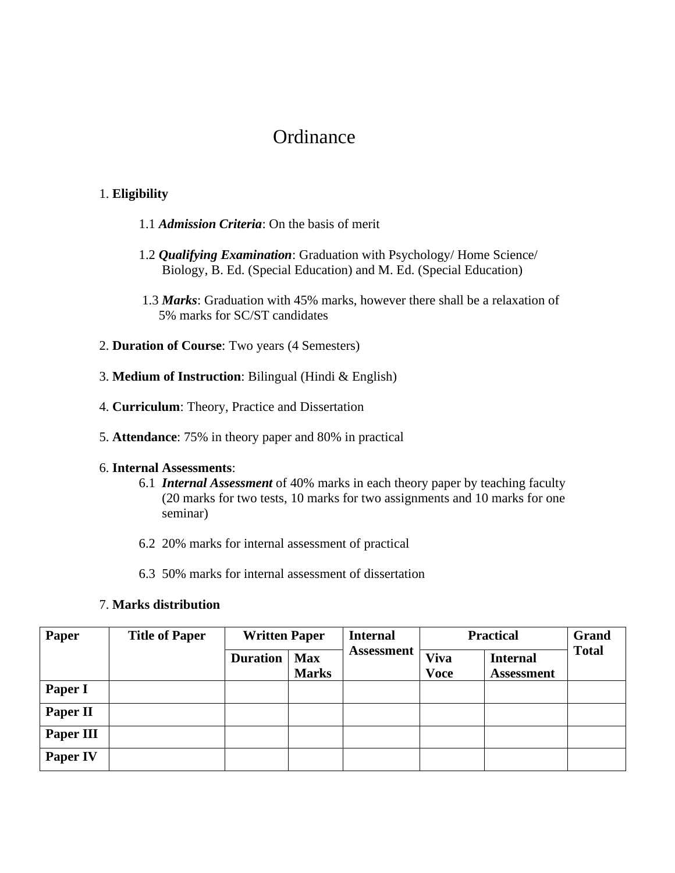# **Ordinance**

# 1. **Eligibility**

- 1.1 *Admission Criteria*: On the basis of merit
- 1.2 *Qualifying Examination*: Graduation with Psychology/ Home Science/ Biology, B. Ed. (Special Education) and M. Ed. (Special Education)
- 1.3 *Marks*: Graduation with 45% marks, however there shall be a relaxation of 5% marks for SC/ST candidates
- 2. **Duration of Course**: Two years (4 Semesters)
- 3. **Medium of Instruction**: Bilingual (Hindi & English)
- 4. **Curriculum**: Theory, Practice and Dissertation
- 5. **Attendance**: 75% in theory paper and 80% in practical

# 6. **Internal Assessments**:

- 6.1 *Internal Assessment* of 40% marks in each theory paper by teaching faculty (20 marks for two tests, 10 marks for two assignments and 10 marks for one seminar)
- 6.2 20% marks for internal assessment of practical
- 6.3 50% marks for internal assessment of dissertation

# 7. **Marks distribution**

| Paper           | <b>Title of Paper</b> | <b>Written Paper</b> |                            | <b>Internal</b>   | <b>Practical</b>           |                                      | Grand        |
|-----------------|-----------------------|----------------------|----------------------------|-------------------|----------------------------|--------------------------------------|--------------|
|                 |                       | <b>Duration</b>      | <b>Max</b><br><b>Marks</b> | <b>Assessment</b> | <b>Viva</b><br><b>Voce</b> | <b>Internal</b><br><b>Assessment</b> | <b>Total</b> |
| Paper I         |                       |                      |                            |                   |                            |                                      |              |
| <b>Paper II</b> |                       |                      |                            |                   |                            |                                      |              |
| Paper III       |                       |                      |                            |                   |                            |                                      |              |
| <b>Paper IV</b> |                       |                      |                            |                   |                            |                                      |              |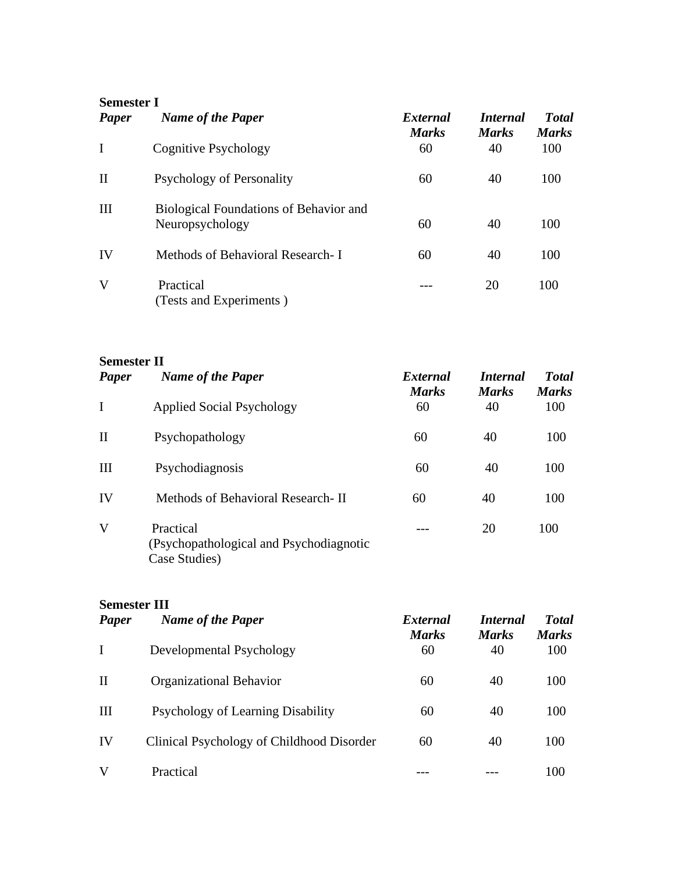| <b>Semester I</b> |
|-------------------|
|-------------------|

| Paper        | <b>Name of the Paper</b>                                         | External<br><b>Marks</b> | <i>Internal</i><br><b>Marks</b> | <b>T</b> otal<br><b>Marks</b> |
|--------------|------------------------------------------------------------------|--------------------------|---------------------------------|-------------------------------|
| $\bf{I}$     | Cognitive Psychology                                             | 60                       | 40                              | 100                           |
| $\mathbf{I}$ | Psychology of Personality                                        | 60                       | 40                              | 100                           |
| III          | <b>Biological Foundations of Behavior and</b><br>Neuropsychology | 60                       | 40                              | 100                           |
| IV           | Methods of Behavioral Research- I                                | 60                       | 40                              | 100                           |
| V            | Practical<br>(Tests and Experiments)                             |                          | 20                              | 100                           |

**Semester II**

| Paper        | <b>Name of the Paper</b>                                              | External<br><b>Marks</b> | <i>Internal</i><br><b>Marks</b> | <b>T</b> otal<br><b>Marks</b> |
|--------------|-----------------------------------------------------------------------|--------------------------|---------------------------------|-------------------------------|
| $\mathbf I$  | <b>Applied Social Psychology</b>                                      | 60                       | 40                              | 100                           |
| $\mathbf{I}$ | Psychopathology                                                       | 60                       | 40                              | 100                           |
| III          | Psychodiagnosis                                                       | 60                       | 40                              | 100                           |
| IV           | Methods of Behavioral Research-II                                     | 60                       | 40                              | 100                           |
| V            | Practical<br>(Psychopathological and Psychodiagnotic<br>Case Studies) |                          | 20                              | 100                           |

# **Semester III**

| Paper        | <b>Name of the Paper</b>                  | External<br><b>Marks</b> | <i>Internal</i><br><b>Marks</b> | <b>Total</b><br><b>Marks</b> |
|--------------|-------------------------------------------|--------------------------|---------------------------------|------------------------------|
| L            | Developmental Psychology                  | 60                       | 40                              | 100                          |
| $\mathbf{I}$ | Organizational Behavior                   | 60                       | 40                              | 100                          |
| III          | Psychology of Learning Disability         | 60                       | 40                              | 100                          |
| IV           | Clinical Psychology of Childhood Disorder | 60                       | 40                              | 100                          |
| V            | Practical                                 |                          |                                 | 100                          |